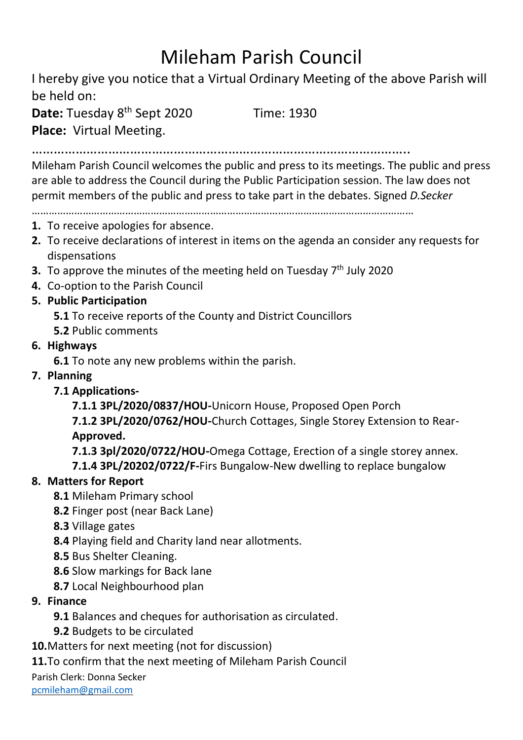## Mileham Parish Council

I hereby give you notice that a Virtual Ordinary Meeting of the above Parish will be held on:

**Date:** Tuesday 8<sup>th</sup> Sept 2020 Time: 1930 **Place:** Virtual Meeting.

…………………………………………………………………………………………..

Mileham Parish Council welcomes the public and press to its meetings. The public and press are able to address the Council during the Public Participation session. The law does not permit members of the public and press to take part in the debates. Signed *D.Secker*

………………………………………………………………………………………………………………………

- **1.** To receive apologies for absence.
- **2.** To receive declarations of interest in items on the agenda an consider any requests for dispensations
- **3.** To approve the minutes of the meeting held on Tuesday 7<sup>th</sup> July 2020
- **4.** Co-option to the Parish Council
- **5. Public Participation**

**5.1** To receive reports of the County and District Councillors

- **5.2** Public comments
- **6. Highways**

**6.1** To note any new problems within the parish.

- **7. Planning**
	- **7.1 Applications-**

**7.1.1 3PL/2020/0837/HOU-**Unicorn House, Proposed Open Porch

**7.1.2 3PL/2020/0762/HOU-**Church Cottages, Single Storey Extension to Rear-**Approved.**

**7.1.3 3pl/2020/0722/HOU-**Omega Cottage, Erection of a single storey annex.

**7.1.4 3PL/20202/0722/F-**Firs Bungalow-New dwelling to replace bungalow

## **8. Matters for Report**

- **8.1** Mileham Primary school
- **8.2** Finger post (near Back Lane)
- **8.3** Village gates
- **8.4** Playing field and Charity land near allotments.
- **8.5** Bus Shelter Cleaning.
- **8.6** Slow markings for Back lane
- **8.7** Local Neighbourhood plan
- **9. Finance** 
	- **9.1** Balances and cheques for authorisation as circulated.
	- **9.2** Budgets to be circulated

**10.**Matters for next meeting (not for discussion)

**11.**To confirm that the next meeting of Mileham Parish Council

Parish Clerk: Donna Secker

[pcmileham@gmail.com](mailto:pcmileham@gmail.com)